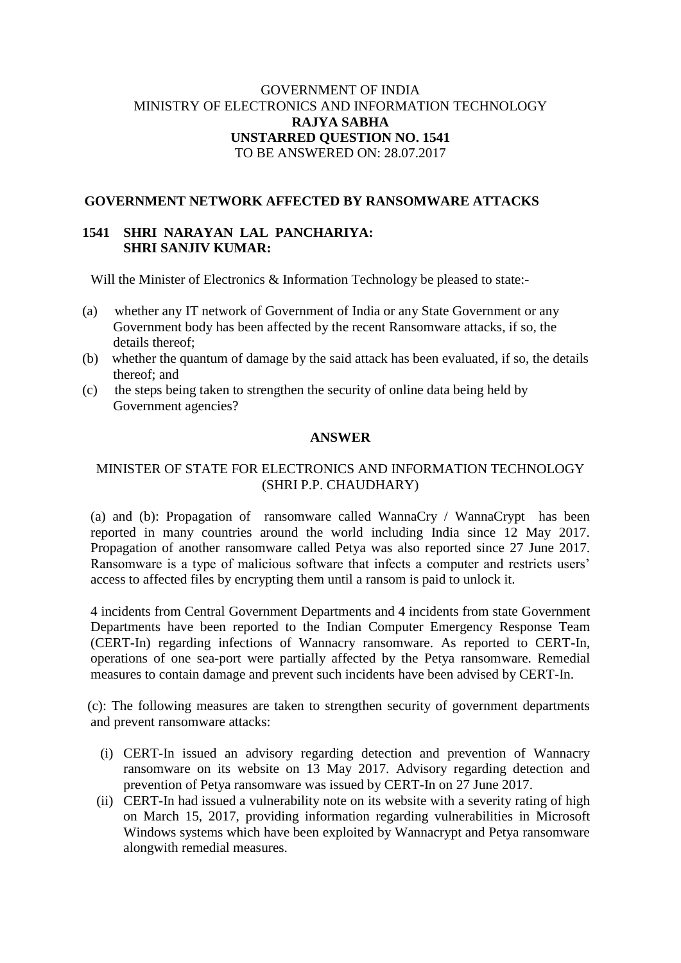# GOVERNMENT OF INDIA MINISTRY OF ELECTRONICS AND INFORMATION TECHNOLOGY **RAJYA SABHA UNSTARRED QUESTION NO. 1541** TO BE ANSWERED ON: 28.07.2017

#### **GOVERNMENT NETWORK AFFECTED BY RANSOMWARE ATTACKS**

### **1541 SHRI NARAYAN LAL PANCHARIYA: SHRI SANJIV KUMAR:**

Will the Minister of Electronics & Information Technology be pleased to state:-

- (a) whether any IT network of Government of India or any State Government or any Government body has been affected by the recent Ransomware attacks, if so, the details thereof;
- (b) whether the quantum of damage by the said attack has been evaluated, if so, the details thereof; and
- (c) the steps being taken to strengthen the security of online data being held by Government agencies?

### **ANSWER**

# MINISTER OF STATE FOR ELECTRONICS AND INFORMATION TECHNOLOGY (SHRI P.P. CHAUDHARY)

(a) and (b): Propagation of ransomware called WannaCry / WannaCrypt has been reported in many countries around the world including India since 12 May 2017. Propagation of another ransomware called Petya was also reported since 27 June 2017. Ransomware is a type of malicious software that infects a computer and restricts users' access to affected files by encrypting them until a ransom is paid to unlock it.

4 incidents from Central Government Departments and 4 incidents from state Government Departments have been reported to the Indian Computer Emergency Response Team (CERT-In) regarding infections of Wannacry ransomware. As reported to CERT-In, operations of one sea-port were partially affected by the Petya ransomware. Remedial measures to contain damage and prevent such incidents have been advised by CERT-In.

(c): The following measures are taken to strengthen security of government departments and prevent ransomware attacks:

- (i) CERT-In issued an advisory regarding detection and prevention of Wannacry ransomware on its website on 13 May 2017. Advisory regarding detection and prevention of Petya ransomware was issued by CERT-In on 27 June 2017.
- (ii) CERT-In had issued a vulnerability note on its website with a severity rating of high on March 15, 2017, providing information regarding vulnerabilities in Microsoft Windows systems which have been exploited by Wannacrypt and Petya ransomware alongwith remedial measures.